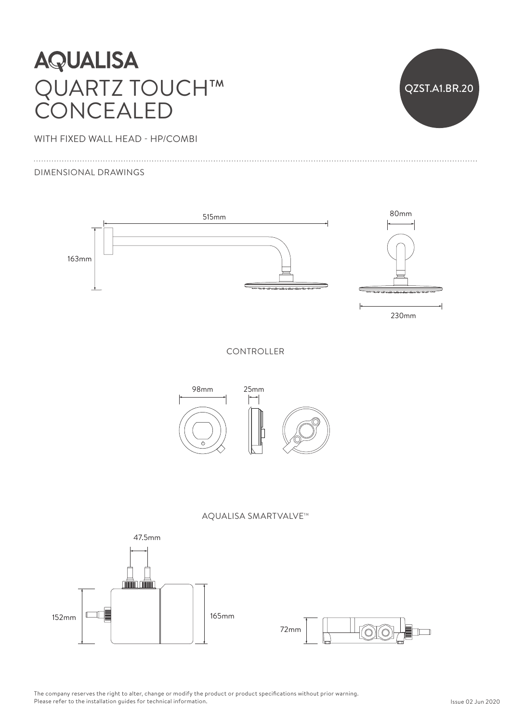## **AQUALISA** QUARTZ TOUCH™ CONCEALED



WITH FIXED WALL HEAD - HP/COMBI  $1\mathsf{P}/\mathsf{C}\mathsf{C}$ 

DIMENSIONAL DRAWINGS

 $\overline{1}$ 



The company reserves the right to alter, change or modify the product or product specifications without prior warning. Please refer to the installation guides for technical information.<br>-